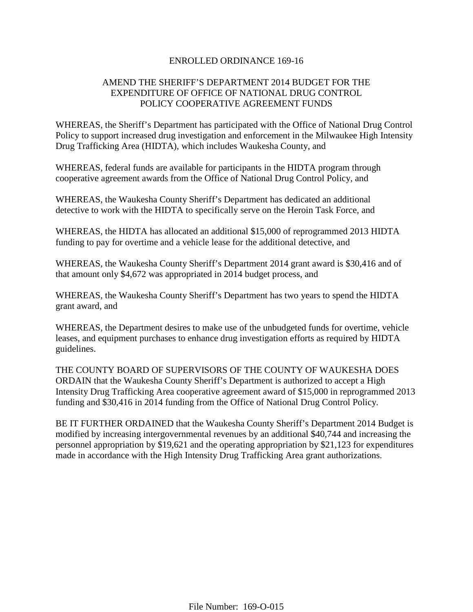### ENROLLED ORDINANCE 169-16

## AMEND THE SHERIFF'S DEPARTMENT 2014 BUDGET FOR THE EXPENDITURE OF OFFICE OF NATIONAL DRUG CONTROL POLICY COOPERATIVE AGREEMENT FUNDS

WHEREAS, the Sheriff's Department has participated with the Office of National Drug Control Policy to support increased drug investigation and enforcement in the Milwaukee High Intensity Drug Trafficking Area (HIDTA), which includes Waukesha County, and

WHEREAS, federal funds are available for participants in the HIDTA program through cooperative agreement awards from the Office of National Drug Control Policy, and

WHEREAS, the Waukesha County Sheriff's Department has dedicated an additional detective to work with the HIDTA to specifically serve on the Heroin Task Force, and

WHEREAS, the HIDTA has allocated an additional \$15,000 of reprogrammed 2013 HIDTA funding to pay for overtime and a vehicle lease for the additional detective, and

WHEREAS, the Waukesha County Sheriff's Department 2014 grant award is \$30,416 and of that amount only \$4,672 was appropriated in 2014 budget process, and

WHEREAS, the Waukesha County Sheriff's Department has two years to spend the HIDTA grant award, and

WHEREAS, the Department desires to make use of the unbudgeted funds for overtime, vehicle leases, and equipment purchases to enhance drug investigation efforts as required by HIDTA guidelines.

THE COUNTY BOARD OF SUPERVISORS OF THE COUNTY OF WAUKESHA DOES ORDAIN that the Waukesha County Sheriff's Department is authorized to accept a High Intensity Drug Trafficking Area cooperative agreement award of \$15,000 in reprogrammed 2013 funding and \$30,416 in 2014 funding from the Office of National Drug Control Policy.

BE IT FURTHER ORDAINED that the Waukesha County Sheriff's Department 2014 Budget is modified by increasing intergovernmental revenues by an additional \$40,744 and increasing the personnel appropriation by \$19,621 and the operating appropriation by \$21,123 for expenditures made in accordance with the High Intensity Drug Trafficking Area grant authorizations.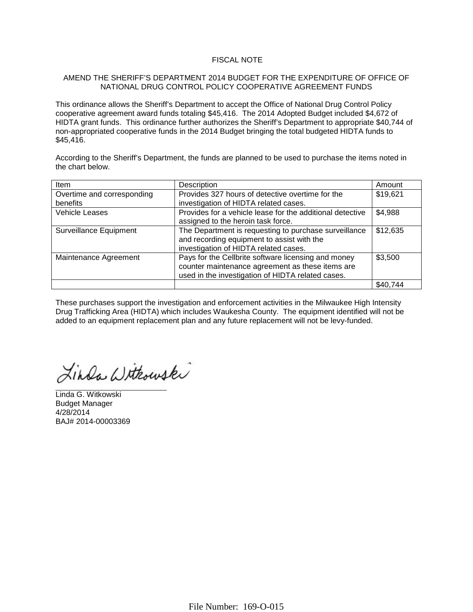#### FISCAL NOTE

#### AMEND THE SHERIFF'S DEPARTMENT 2014 BUDGET FOR THE EXPENDITURE OF OFFICE OF NATIONAL DRUG CONTROL POLICY COOPERATIVE AGREEMENT FUNDS

This ordinance allows the Sheriff's Department to accept the Office of National Drug Control Policy cooperative agreement award funds totaling \$45,416. The 2014 Adopted Budget included \$4,672 of HIDTA grant funds. This ordinance further authorizes the Sheriff's Department to appropriate \$40,744 of non-appropriated cooperative funds in the 2014 Budget bringing the total budgeted HIDTA funds to \$45,416.

According to the Sheriff's Department, the funds are planned to be used to purchase the items noted in the chart below.

| Item                          | Description                                               | Amount   |  |  |
|-------------------------------|-----------------------------------------------------------|----------|--|--|
| Overtime and corresponding    | Provides 327 hours of detective overtime for the          |          |  |  |
| benefits                      | investigation of HIDTA related cases.                     |          |  |  |
| <b>Vehicle Leases</b>         | Provides for a vehicle lease for the additional detective |          |  |  |
|                               | assigned to the heroin task force.                        |          |  |  |
| <b>Surveillance Equipment</b> | The Department is requesting to purchase surveillance     | \$12,635 |  |  |
|                               | and recording equipment to assist with the                |          |  |  |
|                               | investigation of HIDTA related cases.                     |          |  |  |
| Maintenance Agreement         | Pays for the Cellbrite software licensing and money       | \$3,500  |  |  |
|                               | counter maintenance agreement as these items are          |          |  |  |
|                               | used in the investigation of HIDTA related cases.         |          |  |  |
|                               |                                                           | \$40,744 |  |  |

These purchases support the investigation and enforcement activities in the Milwaukee High Intensity Drug Trafficking Area (HIDTA) which includes Waukesha County. The equipment identified will not be added to an equipment replacement plan and any future replacement will not be levy-funded.

Linda Withouski

Linda G. Witkowski Budget Manager 4/28/2014 BAJ# 2014-00003369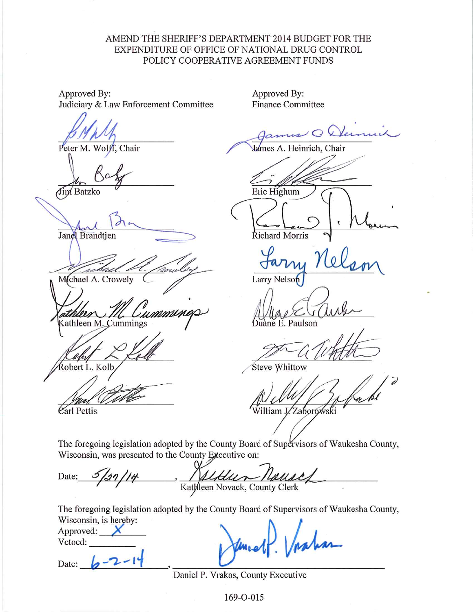## AMEND THE SHERIFF'S DEPARTMENT 2014 BUDGET FOR THE EXPENDITURE OF OFFICE OF NATIONAL DRUG CONTROL POLICY COOPERATIVE AGREEMENT FUNDS

Approved By: Judiciary & Law Enforcement Committee

Peter M. Wolff, Chair

Jim Batzko

Janel Brandtjen

Mchael A. Crowely

<u>u mmune</u> Cathleen M. Cummings

kobert L. Kolb

Carl Pettis

Approved By: **Finance Committee** 

 $\sim$ 

James A. Heinrich, Chair

Eric Highum

Richard Morris

Larry Nelson

nane E. Paulson

**Steve Whittow** 

William J./Zaborowski

The foregoing legislation adopted by the County Board of Supervisors of Waukesha County, Wisconsin, was presented to the County Executive on:

Date: Katkleen Novack, County Clerk

The foregoing legislation adopted by the County Board of Supervisors of Waukesha County, Wisconsin, is hereby:

Approved: Vetoed:

Date:

Daniel P. Vrakas, County Executive

169-O-015